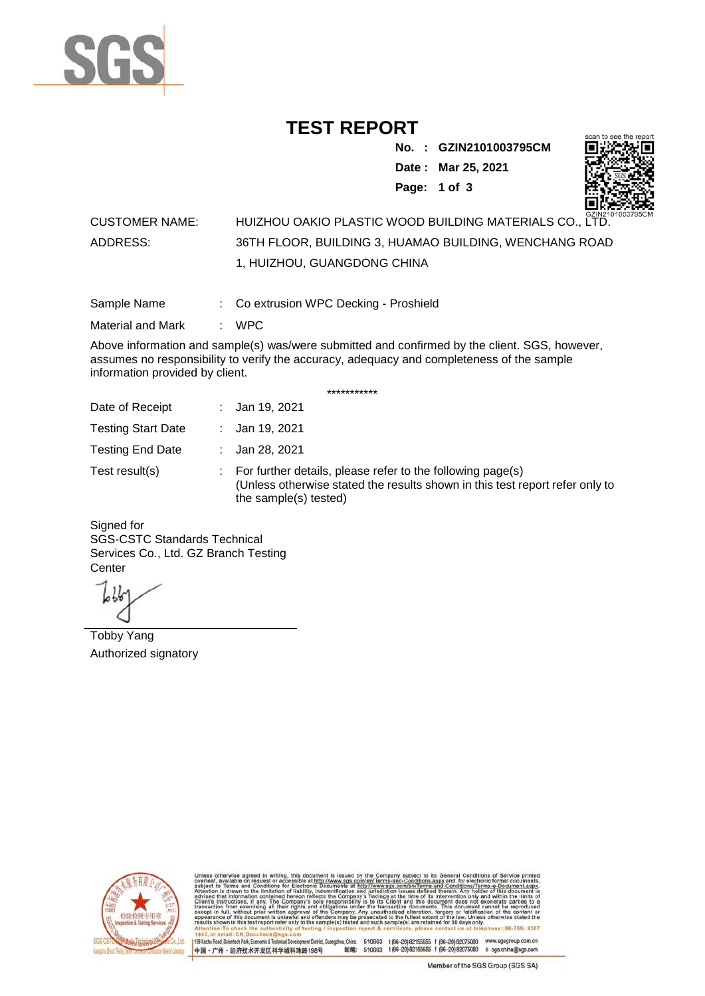

## **TEST REPORT**

**No. : GZIN2101003795CM Date : Mar 25, 2021**



**Page: 1 of 3** 

### CUSTOMER NAME: HUIZHOU OAKIO PLASTIC WOOD BUILDING MATERIALS CO., LTD. ADDRESS: 36TH FLOOR, BUILDING 3, HUAMAO BUILDING, WENCHANG ROAD 1, HUIZHOU, GUANGDONG CHINA

Sample Name : Co extrusion WPC Decking - Proshield

Material and Mark : WPC

Above information and sample(s) was/were submitted and confirmed by the client. SGS, however, assumes no responsibility to verify the accuracy, adequacy and completeness of the sample information provided by client.

\*\*\*\*\*\*\*\*\*\*\*

| Date of Receipt           | : Jan 19, 2021                                                                                                                                                        |
|---------------------------|-----------------------------------------------------------------------------------------------------------------------------------------------------------------------|
| <b>Testing Start Date</b> | : Jan 19, 2021                                                                                                                                                        |
| <b>Testing End Date</b>   | : Jan 28, 2021                                                                                                                                                        |
| Test result(s)            | : For further details, please refer to the following page(s)<br>(Unless otherwise stated the results shown in this test report refer only to<br>the sample(s) tested) |

Signed for SGS-CSTC Standards Technical Services Co., Ltd. GZ Branch Testing **Center** 

Tobby Yang Authorized signatory



510663 t(86-20) 82155555 f (86-20) 82075080 www.sgsgroup.com.cn<br>510663 t(86-20) 82155555 f (86-20) 82075080 e sgs.china@sgs.com 198 Kezhu Road, Scientech Park, Eco nomic & Technical Devel tou, China. ant District G 邮编: 中国·广州·经济技术开发区科学城科珠路198号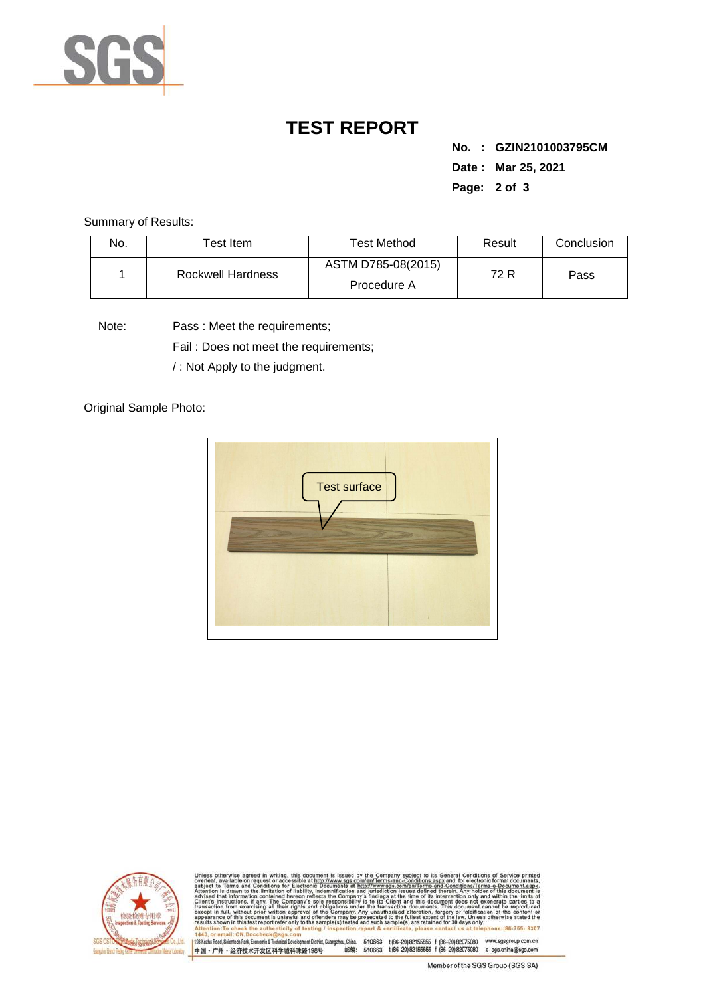

# **TEST REPORT**

**No. : GZIN2101003795CM Date : Mar 25, 2021 Page: 2 of 3** 

Summary of Results:

| No. | Test Item.        | Test Method                       | Result | Conclusion |
|-----|-------------------|-----------------------------------|--------|------------|
|     | Rockwell Hardness | ASTM D785-08(2015)<br>Procedure A | 72 R   | Pass       |

Note: Pass : Meet the requirements;

Fail : Does not meet the requirements;

/ : Not Apply to the judgment.

Original Sample Photo:





and-Conditions/Terms-e-Docu»<br>ad therein. Any holder of this d only<br>not 8307